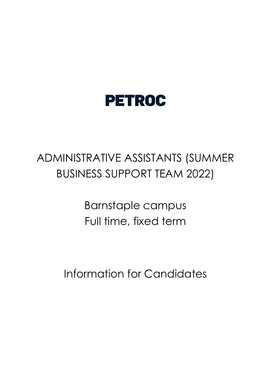

# ADMINISTRATIVE ASSISTANTS (SUMMER BUSINESS SUPPORT TEAM 2022)

Barnstaple campus Full time, fixed term

Information for Candidates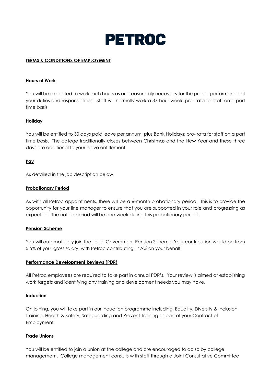

# **TERMS & CONDITIONS OF EMPLOYMENT**

#### **Hours of Work**

You will be expected to work such hours as are reasonably necessary for the proper performance of your duties and responsibilities. Staff will normally work a 37-hour week, pro- rata for staff on a part time basis.

# **Holiday**

You will be entitled to 30 days paid leave per annum, plus Bank Holidays; pro- rata for staff on a part time basis. The college traditionally closes between Christmas and the New Year and these three days are additional to your leave entitlement.

# **Pay**

As detailed in the job description below.

# **Probationary Period**

As with all Petroc appointments, there will be a 6-month probationary period. This is to provide the opportunity for your line manager to ensure that you are supported in your role and progressing as expected. The notice period will be one week during this probationary period.

#### **Pension Scheme**

You will automatically join the Local Government Pension Scheme. Your contribution would be from 5.5% of your gross salary, with Petroc contributing 14.9% on your behalf.

#### **Performance Development Reviews (PDR)**

All Petroc employees are required to take part in annual PDR's. Your review is aimed at establishing work targets and identifying any training and development needs you may have.

#### **Induction**

On joining, you will take part in our induction programme including, Equality, Diversity & Inclusion Training, Health & Safety, Safeguarding and Prevent Training as part of your Contract of Employment.

#### **Trade Unions**

You will be entitled to join a union at the college and are encouraged to do so by college management. College management consults with staff through a Joint Consultative Committee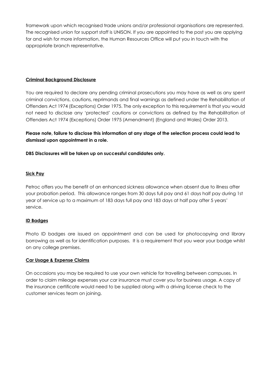framework upon which recognised trade unions and/or professional organisations are represented. The recognised union for support staff is UNISON. If you are appointed to the post you are applying for and wish for more information, the Human Resources Office will put you in touch with the appropriate branch representative.

# **Criminal Background Disclosure**

You are required to declare any pending criminal prosecutions you may have as well as any spent criminal convictions, cautions, reprimands and final warnings as defined under the Rehabilitation of Offenders Act 1974 (Exceptions) Order 1975. The only exception to this requirement is that you would not need to disclose any 'protected' cautions or convictions as defined by the Rehabilitation of Offenders Act 1974 (Exceptions) Order 1975 (Amendment) (England and Wales) Order 2013.

**Please note, failure to disclose this information at any stage of the selection process could lead to dismissal upon appointment in a role.**

**DBS Disclosures will be taken up on successful candidates only.**

# **Sick Pay**

Petroc offers you the benefit of an enhanced sickness allowance when absent due to illness after your probation period. This allowance ranges from 30 days full pay and 61 days half pay during 1st year of service up to a maximum of 183 days full pay and 183 days at half pay after 5 years' service.

# **ID Badges**

Photo ID badges are issued on appointment and can be used for photocopying and library borrowing as well as for identification purposes. It is a requirement that you wear your badge whilst on any college premises.

#### **Car Usage & Expense Claims**

On occasions you may be required to use your own vehicle for travelling between campuses. In order to claim mileage expenses your car insurance must cover you for business usage. A copy of the insurance certificate would need to be supplied along with a driving license check to the customer services team on joining.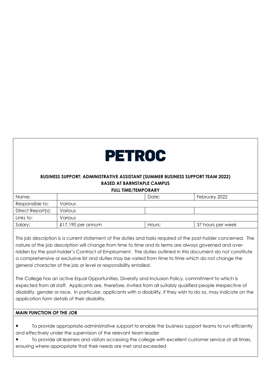

# **BUSINESS SUPPORT: ADMINISTRATIVE ASSISTANT (SUMMER BUSINESS SUPPORT TEAM 2022) BASED AT BARNSTAPLE CAMPUS**

**FULL TIME/TEMPORARY** 

| Name:             |                   | Date:  | February 2022     |
|-------------------|-------------------|--------|-------------------|
| Responsible to:   | Various           |        |                   |
| Direct Report(s): | Various           |        |                   |
| Links to:         | Various           |        |                   |
| Salary:           | £17,190 per annum | Hours: | 37 hours per week |

This job description is a current statement of the duties and tasks required of the post-holder concerned. The nature of the job description will change from time to time and its terms are always governed and overridden by the post-holder's Contract of Employment. The duties outlined in this document do not constitute a comprehensive or exclusive list and duties may be varied from time to time which do not change the general character of the job or level or responsibility entailed.

The College has an active Equal Opportunities, Diversity and Inclusion Policy, commitment to which is expected from all staff. Applicants are, therefore, invited from all suitably qualified people irrespective of disability, gender or race. In particular, applicants with a disability, if they wish to do so, may indicate on the application form details of their disability.

# **MAIN FUNCTION OF THE JOB**

- To provide appropriate administrative support to enable the business support teams to run efficiently and effectively under the supervision of the relevant team leader
- To provide all learners and visitors accessing the college with excellent customer service at all times, ensuring where appropriate that their needs are met and exceeded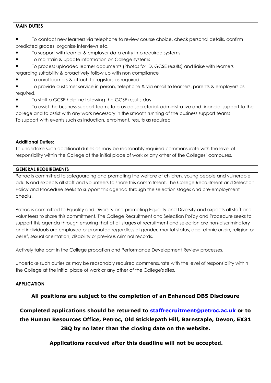# **MAIN DUTIES**

- To contact new learners via telephone to review course choice, check personal details, confirm predicted grades, organise interviews etc.
- To support with learner & employer data entry into required systems
- To maintain & update information on College systems
- To process uploaded learner documents (Photos for ID, GCSE results) and liaise with learners regarding suitability & proactively follow up with non compliance
- To enrol learners & attach to registers as required

● To provide customer service in person, telephone & via email to learners, parents & employers as required.

● To staff a GCSE helpline following the GCSE results day

To assist the business support teams to provide secretarial, administrative and financial support to the college and to assist with any work necessary in the smooth running of the business support teams To support with events such as induction, enrolment, results as required

# **Additional Duties:**

To undertake such additional duties as may be reasonably required commensurate with the level of responsibility within the College at the initial place of work or any other of the Colleges' campuses.

# **GENERAL REQUIREMENTS**

Petroc is committed to safeguarding and promoting the welfare of children, young people and vulnerable adults and expects all staff and volunteers to share this commitment. The College Recruitment and Selection Policy and Procedure seeks to support this agenda through the selection stages and pre-employment checks.

Petroc is committed to Equality and Diversity and promoting Equality and Diversity and expects all staff and volunteers to share this commitment. The College Recruitment and Selection Policy and Procedure seeks to support this agenda through ensuring that at all stages of recruitment and selection are non-discriminatory and individuals are employed or promoted regardless of gender, marital status, age, ethnic origin, religion or belief, sexual orientation, disability or previous criminal records.

Actively take part in the College probation and Performance Development Review processes.

Undertake such duties as may be reasonably required commensurate with the level of responsibility within the College at the initial place of work or any other of the College's sites.

# **APPLICATION**

# **All positions are subject to the completion of an Enhanced DBS Disclosure**

**Completed applications should be returned to staffrecruitment@petroc.ac.uk or to the Human Resources Office, Petroc, Old Sticklepath Hill, Barnstaple, Devon, EX31 2BQ by no later than the closing date on the website.**

**Applications received after this deadline will not be accepted.**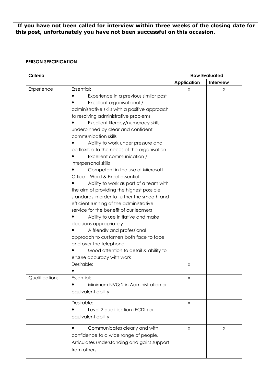# **If you have not been called for interview within three weeks of the closing date for this post, unfortunately you have not been successful on this occasion.**

# **PERSON SPECIFICATION**

| Criteria       |                                                                                                                                                                                                                                                                                                                                                                                                                                                                                                                                                                                                                                                                                                                                                                                                                                                                                                                                                                             | <b>How Evaluated</b> |           |
|----------------|-----------------------------------------------------------------------------------------------------------------------------------------------------------------------------------------------------------------------------------------------------------------------------------------------------------------------------------------------------------------------------------------------------------------------------------------------------------------------------------------------------------------------------------------------------------------------------------------------------------------------------------------------------------------------------------------------------------------------------------------------------------------------------------------------------------------------------------------------------------------------------------------------------------------------------------------------------------------------------|----------------------|-----------|
|                |                                                                                                                                                                                                                                                                                                                                                                                                                                                                                                                                                                                                                                                                                                                                                                                                                                                                                                                                                                             | <b>Application</b>   | Interview |
| Experience     | Essential:<br>Experience in a previous similar post<br>Excellent organisational /<br>administrative skills with a positive approach<br>to resolving administrative problems<br>Excellent literacy/numeracy skills,<br>underpinned by clear and confident<br>communication skills<br>Ability to work under pressure and<br>be flexible to the needs of the organisation<br>Excellent communication /<br>interpersonal skills<br>Competent in the use of Microsoft<br>Office - Word & Excel essential<br>Ability to work as part of a team with<br>the aim of providing the highest possible<br>standards in order to further the smooth and<br>efficient running of the administrative<br>service for the benefit of our learners<br>Ability to use initiative and make<br>decisions appropriately<br>A friendly and professional<br>approach to customers both face to face<br>and over the telephone<br>Good attention to detail & ability to<br>ensure accuracy with work | X                    | X         |
|                | Desirable:                                                                                                                                                                                                                                                                                                                                                                                                                                                                                                                                                                                                                                                                                                                                                                                                                                                                                                                                                                  | X                    |           |
| Qualifications | <b>Essential:</b><br>Minimum NVQ 2 in Administration or<br>equivalent ability                                                                                                                                                                                                                                                                                                                                                                                                                                                                                                                                                                                                                                                                                                                                                                                                                                                                                               | X                    |           |
|                | Desirable:<br>Level 2 qualification (ECDL) or<br>equivalent ability                                                                                                                                                                                                                                                                                                                                                                                                                                                                                                                                                                                                                                                                                                                                                                                                                                                                                                         | X                    |           |
|                | Communicates clearly and with<br>confidence to a wide range of people.<br>Articulates understanding and gains support<br>from others                                                                                                                                                                                                                                                                                                                                                                                                                                                                                                                                                                                                                                                                                                                                                                                                                                        | X                    | X         |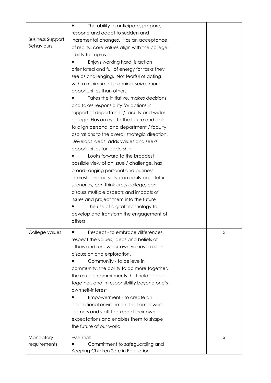| <b>Business Support</b><br><b>Behaviours</b> | The ability to anticipate, prepare,<br>$\bullet$<br>respond and adapt to sudden and<br>incremental changes. Has an acceptance<br>of reality, core values align with the college,<br>ability to improvise<br>Enjoys working hard, is action<br>orientated and full of energy for tasks they<br>see as challenging. Not fearful of acting<br>with a minimum of planning, seizes more<br>opportunities than others<br>Takes the initiative, makes decisions<br>and takes responsibility for actions in<br>support of department / faculty and wider<br>college. Has an eye to the future and able<br>to align personal and department / faculty<br>aspirations to the overall strategic direction.<br>Develops ideas, adds values and seeks<br>opportunities for leadership<br>Looks forward to the broadest<br>possible view of an issue / challenge, has<br>broad-ranging personal and business |   |
|----------------------------------------------|------------------------------------------------------------------------------------------------------------------------------------------------------------------------------------------------------------------------------------------------------------------------------------------------------------------------------------------------------------------------------------------------------------------------------------------------------------------------------------------------------------------------------------------------------------------------------------------------------------------------------------------------------------------------------------------------------------------------------------------------------------------------------------------------------------------------------------------------------------------------------------------------|---|
|                                              | interests and pursuits, can easily pose future<br>scenarios, can think cross college, can<br>discuss multiple aspects and impacts of<br>issues and project them into the future<br>The use of digital technology to<br>develop and transform the engagement of<br>others                                                                                                                                                                                                                                                                                                                                                                                                                                                                                                                                                                                                                       |   |
| College values                               | Respect - to embrace differences,<br>respect the values, ideas and beliefs of<br>others and renew our own values through<br>discussion and exploration.<br>Community - to believe in<br>community, the ability to do more together,<br>the mutual commitments that hold people<br>together, and in responsibility beyond one's<br>own self-interest<br>Empowerment - to create an<br>educational environment that empowers<br>learners and staff to exceed their own<br>expectations and enables them to shape<br>the future of our world                                                                                                                                                                                                                                                                                                                                                      | X |
| Mandatory<br>requirements                    | Essential:<br>Commitment to safeguarding and<br>Keeping Children Safe in Education                                                                                                                                                                                                                                                                                                                                                                                                                                                                                                                                                                                                                                                                                                                                                                                                             | X |